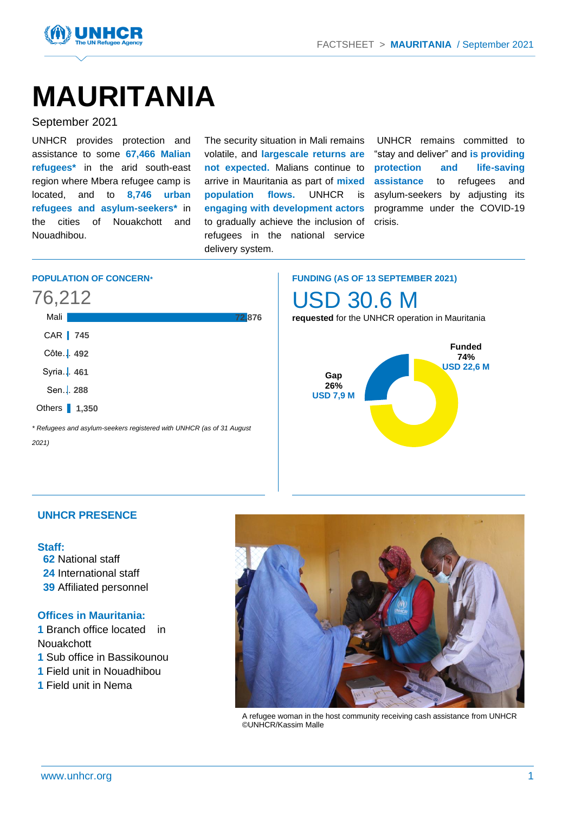

# **MAURITANIA**

# September 2021

UNHCR provides protection and assistance to some **67,466 Malian refugees\*** in the arid south-east region where Mbera refugee camp is located, and to **8,746 urban refugees and asylum-seekers\*** in the cities of Nouakchott and Nouadhibou.

The security situation in Mali remains volatile, and **largescale returns are not expected.** Malians continue to arrive in Mauritania as part of **mixed population flows.** UNHCR is **engaging with development actors** to gradually achieve the inclusion of refugees in the national service delivery system.

UNHCR remains committed to "stay and deliver" and **is providing protection and life-saving assistance** to refugees and asylum-seekers by adjusting its programme under the COVID-19 crisis.

# **POPULATION OF CONCERN***\**

# 76,212

| Mali                                                                 | 72,876 |
|----------------------------------------------------------------------|--------|
| CAR 745                                                              |        |
| Côte.   492                                                          |        |
| Syria.   461                                                         |        |
| Sen. 288                                                             |        |
| Others 1.350                                                         |        |
| * Refugees and asylum-seekers registered with UNHCR (as of 31 August |        |

**FUNDING (AS OF 13 SEPTEMBER 2021)** USD 30.6 M

**requested** for the UNHCR operation in Mauritania



# **UNHCR PRESENCE**

# **Staff:**

*2021)*

- **62** National staff
- **24** International staff
- **39** Affiliated personnel

# **Offices in Mauritania:**

**1** Branch office located in **Nouakchott** 

- **1** Sub office in Bassikounou
- **1** Field unit in Nouadhibou
- **1** Field unit in Nema



A refugee woman in the host community receiving cash assistance from UNHCR ©UNHCR/Kassim Malle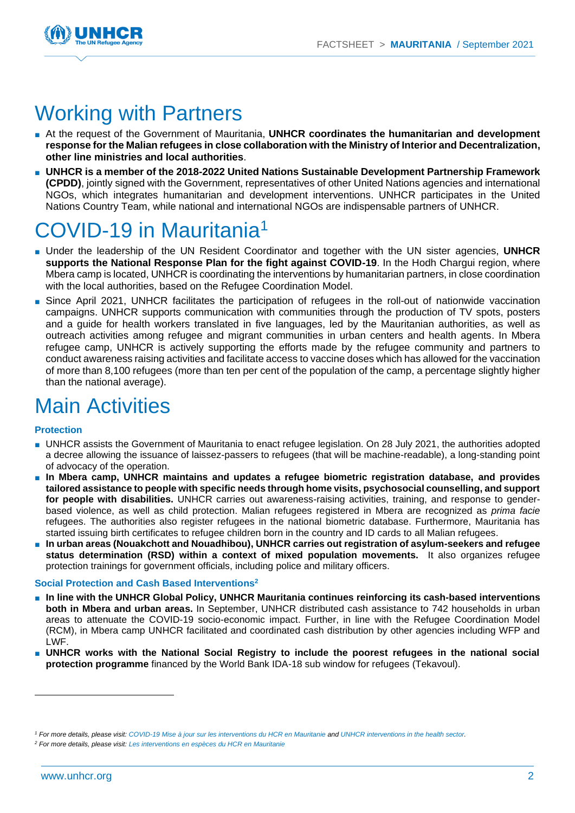

# Working with Partners

- At the request of the Government of Mauritania, **UNHCR coordinates the humanitarian and development response for the Malian refugees in close collaboration with the Ministry of Interior and Decentralization, other line ministries and local authorities**.
- **UNHCR is a member of the 2018-2022 United Nations Sustainable Development Partnership Framework (CPDD)**, jointly signed with the Government, representatives of other United Nations agencies and international NGOs, which integrates humanitarian and development interventions. UNHCR participates in the United Nations Country Team, while national and international NGOs are indispensable partners of UNHCR.

# $COV$ ID-19 in Mauritania<sup>1</sup>

- Under the leadership of the UN Resident Coordinator and together with the UN sister agencies, **UNHCR supports the National Response Plan for the fight against COVID-19**. In the Hodh Chargui region, where Mbera camp is located, UNHCR is coordinating the interventions by humanitarian partners, in close coordination with the local authorities, based on the Refugee Coordination Model.
- Since April 2021, UNHCR facilitates the participation of refugees in the roll-out of nationwide vaccination campaigns. UNHCR supports communication with communities through the production of TV spots, posters and a guide for health workers translated in five languages, led by the Mauritanian authorities, as well as outreach activities among refugee and migrant communities in urban centers and health agents. In Mbera refugee camp, UNHCR is actively supporting the efforts made by the refugee community and partners to conduct awareness raising activities and facilitate access to vaccine doses which has allowed for the vaccination of more than 8,100 refugees (more than ten per cent of the population of the camp, a percentage slightly higher than the national average).

# Main Activities

# **Protection**

- UNHCR assists the Government of Mauritania to enact refugee legislation. On 28 July 2021, the authorities adopted a decree allowing the issuance of laissez-passers to refugees (that will be machine-readable), a long-standing point of advocacy of the operation.
- In Mbera camp, UNHCR maintains and updates a refugee biometric registration database, and provides **tailored assistance to people with specific needs through home visits, psychosocial counselling, and support for people with disabilities.** UNHCR carries out awareness-raising activities, training, and response to genderbased violence, as well as child protection. Malian refugees registered in Mbera are recognized as *prima facie* refugees. The authorities also register refugees in the national biometric database. Furthermore, Mauritania has started issuing birth certificates to refugee children born in the country and ID cards to all Malian refugees.
- In urban areas (Nouakchott and Nouadhibou), UNHCR carries out registration of asylum-seekers and refugee **status determination (RSD) within a context of mixed population movements.** It also organizes refugee protection trainings for government officials, including police and military officers.

# **Social Protection and Cash Based Interventions 2**

- **In line with the UNHCR Global Policy, UNHCR Mauritania continues reinforcing its cash-based interventions both in Mbera and urban areas.** In September, UNHCR distributed cash assistance to 742 households in urban areas to attenuate the COVID-19 socio-economic impact. Further, in line with the Refugee Coordination Model (RCM), in Mbera camp UNHCR facilitated and coordinated cash distribution by other agencies including WFP and LWF.
- **UNHCR works with the National Social Registry to include the poorest refugees in the national social protection programme** financed by the World Bank IDA-18 sub window for refugees (Tekavoul).

*<sup>1</sup> For more details, please visit[: COVID-19 Mise à jour sur les interventions du HCR en Mauritanie](https://data2.unhcr.org/en/documents/details/78561) and [UNHCR interventions in the health sector.](https://data2.unhcr.org/en/documents/details/84873)* 

*<sup>2</sup> For more details, please visit[: Les interventions en espèces du HCR en Mauritanie](https://data2.unhcr.org/en/documents/details/86529)*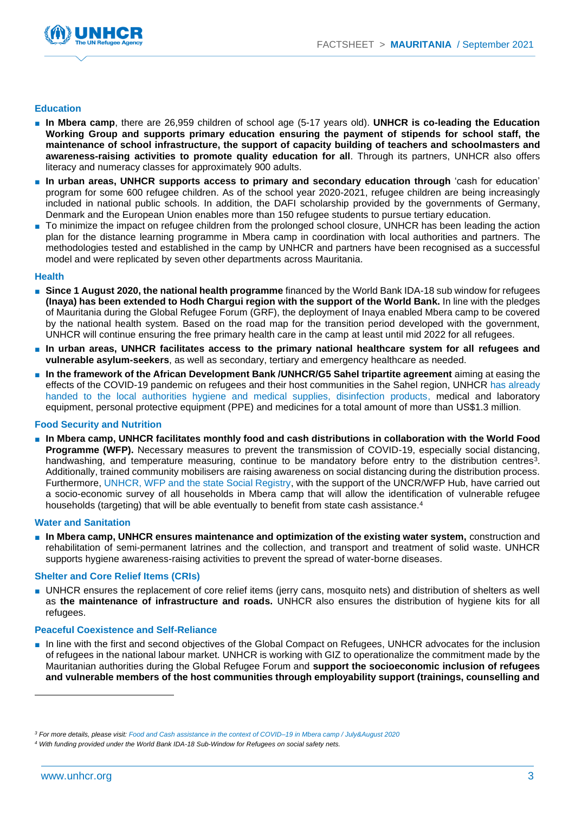

#### **Education**

- **In Mbera camp**, there are 26,959 children of school age (5-17 years old). **UNHCR is co-leading the Education Working Group and supports primary education ensuring the payment of stipends for school staff, the maintenance of school infrastructure, the support of capacity building of teachers and schoolmasters and awareness-raising activities to promote quality education for all**. Through its partners, UNHCR also offers literacy and numeracy classes for approximately 900 adults.
- **In urban areas, UNHCR supports access to primary and secondary education through** 'cash for education' program for some 600 refugee children. As of the school year 2020-2021, refugee children are being increasingly included in national public schools. In addition, the DAFI scholarship provided by the governments of Germany, Denmark and the European Union enables more than 150 refugee students to pursue tertiary education.
- To minimize the impact on refugee children from the prolonged school closure, UNHCR has been leading the action plan for the distance learning programme in Mbera camp in coordination with local authorities and partners. The methodologies tested and established in the camp by UNHCR and partners have been recognised as a successful model and were replicated by seven other departments across Mauritania.

#### **Health**

- **Since 1 August 2020, the national health programme** financed by the World Bank IDA-18 sub window for refugees **(Inaya) has been extended to Hodh Chargui region with the support of the World Bank.** In line with the pledges of Mauritania during the Global Refugee Forum (GRF), the deployment of Inaya enabled Mbera camp to be covered by the national health system. Based on the road map for the transition period developed with the government, UNHCR will continue ensuring the free primary health care in the camp at least until mid 2022 for all refugees.
- **In urban areas, UNHCR facilitates access to the primary national healthcare system for all refugees and vulnerable asylum-seekers**, as well as secondary, tertiary and emergency healthcare as needed.
- **In the framework of the African Development Bank /UNHCR/G5 Sahel tripartite agreement** aiming at easing the effects of the COVID-19 pandemic on refugees and their host communities in the Sahel region, UNHCR [has already](https://data2.unhcr.org/en/documents/details/84287)  [handed to the local authorities hygiene and medical supplies, disinfection products,](https://data2.unhcr.org/en/documents/details/84287) medical and laboratory equipment, personal protective equipment (PPE) and medicines for a total amount of more than US\$1.3 million.

#### **Food Security and Nutrition**

■ **In Mbera camp, UNHCR facilitates monthly food and cash distributions in collaboration with the World Food Programme (WFP).** Necessary measures to prevent the transmission of COVID-19, especially social distancing, handwashing, and temperature measuring, continue to be mandatory before entry to the distribution centres<sup>3</sup>. Additionally, trained community mobilisers are raising awareness on social distancing during the distribution process. Furthermore, [UNHCR, WFP and the state Social Registry,](https://data.unhcr.org/en/documents/details/85513) with the support of the UNCR/WFP Hub, have carried out a socio-economic survey of all households in Mbera camp that will allow the identification of vulnerable refugee households (targeting) that will be able eventually to benefit from state cash assistance.<sup>4</sup>

#### **Water and Sanitation**

■ **In Mbera camp, UNHCR ensures maintenance and optimization of the existing water system, construction and** rehabilitation of semi-permanent latrines and the collection, and transport and treatment of solid waste. UNHCR supports hygiene awareness-raising activities to prevent the spread of water-borne diseases.

#### **Shelter and Core Relief Items (CRIs)**

■ UNHCR ensures the replacement of core relief items (jerry cans, mosquito nets) and distribution of shelters as well as **the maintenance of infrastructure and roads.** UNHCR also ensures the distribution of hygiene kits for all refugees.

#### **Peaceful Coexistence and Self-Reliance**

■ In line with the first and second objectives of the Global Compact on Refugees, UNHCR advocates for the inclusion of refugees in the national labour market. UNHCR is working with GIZ to operationalize the commitment made by the Mauritanian authorities during the Global Refugee Forum and **support the socioeconomic inclusion of refugees and vulnerable members of the host communities through employability support (trainings, counselling and** 

*<sup>3</sup> For more details, please visit[: Food and Cash assistance in the context of COVID–19 in Mbera camp / July&August 2020](https://data2.unhcr.org/en/documents/details/78623)*

*<sup>4</sup> With funding provided under the World Bank IDA-18 Sub-Window for Refugees on social safety nets.*